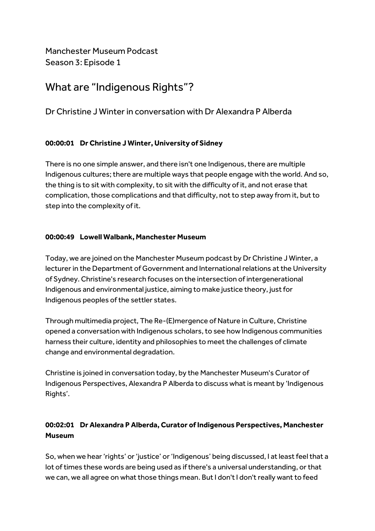Manchester Museum Podcast Season 3: Episode 1

# What are "Indigenous Rights"?

# Dr Christine J Winter in conversation with Dr Alexandra P Alberda

## **00:00:01 Dr Christine J Winter, University of Sidney**

There is no one simple answer, and there isn't one Indigenous, there are multiple Indigenous cultures; there are multiple ways that people engage with the world. And so, the thing is to sit with complexity, to sit with the difficulty of it, and not erase that complication, those complications and that difficulty, not to step away from it, but to step into the complexity of it.

## **00:00:49 Lowell Walbank, Manchester Museum**

Today, we are joined on the Manchester Museum podcast by Dr Christine J Winter, a lecturer in the Department of Government and International relations at the University of Sydney. Christine's research focuses on the intersection of intergenerational Indigenous and environmental justice, aiming to make justice theory, just for Indigenous peoples of the settler states.

Through multimedia project, The Re-(E)mergence of Nature in Culture, Christine opened a conversation with Indigenous scholars, to see how Indigenous communities harness their culture, identity and philosophies to meet the challenges of climate change and environmental degradation.

Christine is joined in conversation today, by the Manchester Museum's Curator of Indigenous Perspectives, Alexandra P Alberda to discuss what is meant by 'Indigenous Rights'.

# **00:02:01 Dr Alexandra P Alberda, Curator of Indigenous Perspectives, Manchester Museum**

So, when we hear 'rights' or 'justice' or 'Indigenous' being discussed, I at least feel that a lot of times these words are being used as if there's a universal understanding, or that we can, we all agree on what those things mean. But I don't I don't really want to feed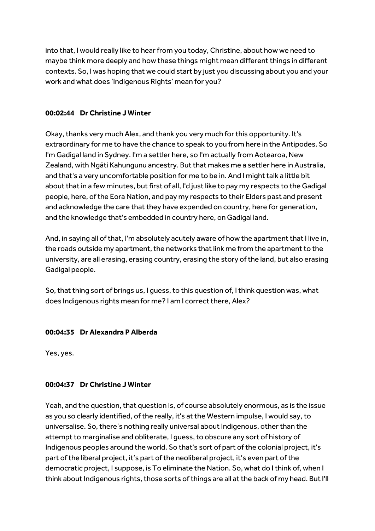into that, I would really like to hear from you today, Christine, about how we need to maybe think more deeply and how these things might mean different things in different contexts. So, I was hoping that we could start by just you discussing about you and your work and what does 'Indigenous Rights' mean for you?

## **00:02:44 Dr Christine J Winter**

Okay, thanks very much Alex, and thank you very much for this opportunity. It's extraordinary for me to have the chance to speak to you from here in the Antipodes. So I'm Gadigal land in Sydney. I'm a settler here, so I'm actually from Aotearoa, New Zealand, with Ngāti Kahungunu ancestry. But that makes me a settler here in Australia, and that's a very uncomfortable position for me to be in. And I might talk a little bit about that in a few minutes, but first of all, I'd just like to pay my respects to the Gadigal people, here, of the Eora Nation, and pay my respects to their Elders past and present and acknowledge the care that they have expended on country, here for generation, and the knowledge that's embedded in country here, on Gadigal land.

And, in saying all of that, I'm absolutely acutely aware of how the apartment that I live in, the roads outside my apartment, the networks that link me from the apartment to the university, are all erasing, erasing country, erasing the story of the land, but also erasing Gadigal people.

So, that thing sort of brings us, I guess, to this question of, I think question was, what does Indigenous rights mean for me? I am I correct there, Alex?

## **00:04:35 Dr Alexandra P Alberda**

Yes, yes.

## **00:04:37 Dr Christine J Winter**

Yeah, and the question, that question is, of course absolutely enormous, as is the issue as you so clearly identified, of the really, it's at the Western impulse, I would say, to universalise. So, there's nothing really universal about Indigenous, other than the attempt to marginalise and obliterate, I guess, to obscure any sort of history of Indigenous peoples around the world. So that's sort of part of the colonial project, it's part of the liberal project, it's part of the neoliberal project, it's even part of the democratic project, I suppose, is To eliminate the Nation. So, what do I think of, when I think about Indigenous rights, those sorts of things are all at the back of my head. But I'll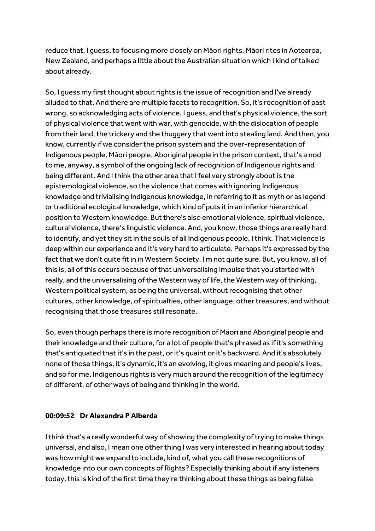reduce that, I quess, to focusing more closely on Māori rights, Māori rites in Aotearoa, New Zealand, and perhaps a little about the Australian situation which I kind of talked about already.

So, I guess my first thought about rights is the issue of recognition and I've already alluded to that. And there are multiple facets to recognition. So, it's recognition of past wrong, so acknowledging acts of violence, I guess, and that's physical violence, the sort of physical violence that went with war, with genocide, with the dislocation of people from their land, the trickery and the thuggery that went into stealing land. And then, you know, currently if we consider the prison system and the over-representation of Indigenous people, Māori people, Aboriginal people in the prison context, that's a nod to me, anyway, a symbol of the ongoing lack of recognition of Indigenous rights and being different. And I think the other area that I feel very strongly about is the epistemological violence, so the violence that comes with ignoring Indigenous knowledge and trivialising Indigenous knowledge, in referring to it as myth or as legend or traditional ecological knowledge, which kind of puts it in an inferior hierarchical position to Western knowledge. But there's also emotional violence, spiritual violence, cultural violence, there's linguistic violence. And, you know, those things are really hard to identify, and yet they sit in the souls of all Indigenous people, I think. That violence is deep within our experience and it's very hard to articulate. Perhaps it's expressed by the fact that we don't quite fit in in Western Society. I'm not quite sure. But, you know, all of this is, all of this occurs because of that universalising impulse that you started with really, and the universalising of the Western way of life, the Western way of thinking, Western political system, as being the universal, without recognising that other cultures, other knowledge, of spiritualties, other language, other treasures, and without recognising that those treasures still resonate.

So, even though perhaps there is more recognition of Māori and Aboriginal people and their knowledge and their culture, for a lot of people that's phrased as if it's something that's antiquated that it's in the past, or it's quaint or it's backward. And it's absolutely none of those things, it's dynamic, it's an evolving, it gives meaning and people's lives, and so for me, Indigenous rights is very much around the recognition of the legitimacy of different, of other ways of being and thinking in the world.

#### **00:09:52 Dr Alexandra P Alberda**

I think that's a really wonderful way of showing the complexity of trying to make things universal, and also, I mean one other thing I was very interested in hearing about today was how might we expand to include, kind of, what you call these recognitions of knowledge into our own concepts of Rights? Especially thinking about if any listeners today, this is kind of the first time they're thinking about these things as being false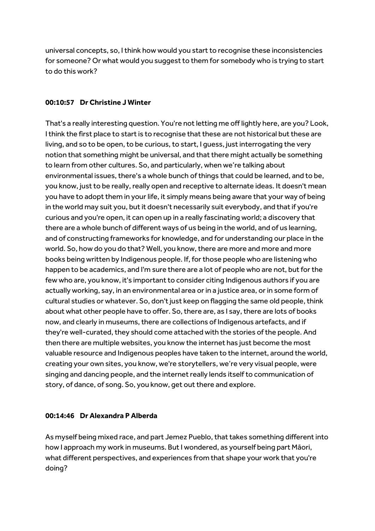universal concepts, so, I think how would you start to recognise these inconsistencies for someone? Or what would you suggest to them for somebody who is trying to start to do this work?

## **00:10:57 Dr Christine J Winter**

That's a really interesting question. You're not letting me off lightly here, are you? Look, I think the first place to start is to recognise that these are not historical but these are living, and so to be open, to be curious, to start, I guess, just interrogating the very notion that something might be universal, and that there might actually be something to learn from other cultures. So, and particularly, when we're talking about environmental issues, there's a whole bunch of things that could be learned, and to be, you know, just to be really, really open and receptive to alternate ideas. It doesn't mean you have to adopt them in your life, it simply means being aware that your way of being in the world may suit you, but it doesn't necessarily suit everybody, and that if you're curious and you're open, it can open up in a really fascinating world; a discovery that there are a whole bunch of different ways of us being in the world, and of us learning, and of constructing frameworks for knowledge, and for understanding our place in the world. So, how do you do that? Well, you know, there are more and more and more books being written by Indigenous people. If, for those people who are listening who happen to be academics, and I'm sure there are a lot of people who are not, but for the few who are, you know, it's important to consider citing Indigenous authors if you are actually working, say, in an environmental area or in a justice area, or in some form of cultural studies or whatever. So, don't just keep on flagging the same old people, think about what other people have to offer. So, there are, as I say, there are lots of books now, and clearly in museums, there are collections of Indigenous artefacts, and if they're well-curated, they should come attached with the stories of the people. And then there are multiple websites, you know the internet has just become the most valuable resource and Indigenous peoples have taken to the internet, around the world, creating your own sites, you know, we're storytellers, we're very visual people, were singing and dancing people, and the internet really lends itself to communication of story, of dance, of song. So, you know, get out there and explore.

#### **00:14:46 Dr Alexandra P Alberda**

As myself being mixed race, and part Jemez Pueblo, that takes something different into how I approach my work in museums. But I wondered, as yourself being part Māori, what different perspectives, and experiences from that shape your work that you're doing?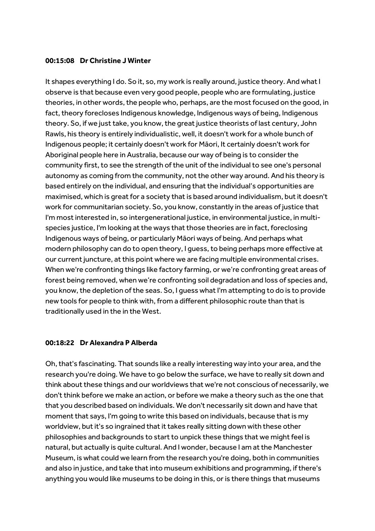#### **00:15:08 Dr Christine J Winter**

It shapes everything I do. So it, so, my work is really around, justice theory. And what I observe is that because even very good people, people who are formulating, justice theories, in other words, the people who, perhaps, are the most focused on the good, in fact, theory forecloses Indigenous knowledge, Indigenous ways of being, Indigenous theory. So, if we just take, you know, the great justice theorists of last century, John Rawls, his theory is entirely individualistic, well, it doesn't work for a whole bunch of Indigenous people; it certainly doesn't work for Māori, It certainly doesn't work for Aboriginal people here in Australia, because our way of being is to consider the community first, to see the strength of the unit of the individual to see one's personal autonomy as coming from the community, not the other way around. And his theory is based entirely on the individual, and ensuring that the individual's opportunities are maximised, which is great for a society that is based around individualism, but it doesn't work for communitarian society. So, you know, constantly in the areas of justice that I'm most interested in, so intergenerational justice, in environmental justice, in multispecies justice, I'm looking at the ways that those theories are in fact, foreclosing Indigenous ways of being, or particularly Māori ways of being. And perhaps what modern philosophy can do to open theory, I guess, to being perhaps more effective at our current juncture, at this point where we are facing multiple environmental crises. When we're confronting things like factory farming, or we're confronting great areas of forest being removed, when we're confronting soil degradation and loss of species and, you know, the depletion of the seas. So, I guess what I'm attempting to do is to provide new tools for people to think with, from a different philosophic route than that is traditionally used in the in the West.

#### **00:18:22 Dr Alexandra P Alberda**

Oh, that's fascinating. That sounds like a really interesting way into your area, and the research you're doing. We have to go below the surface, we have to really sit down and think about these things and our worldviews that we're not conscious of necessarily, we don't think before we make an action, or before we make a theory such as the one that that you described based on individuals. We don't necessarily sit down and have that moment that says, I'm going to write this based on individuals, because that is my worldview, butit's so ingrained that it takes really sitting down with these other philosophies and backgrounds to start to unpick these things that we might feel is natural, but actually is quite cultural. And I wonder, because I am at the Manchester Museum, is what could we learn from the research you're doing, both in communities and also in justice, and take that into museum exhibitions and programming, if there's anything you would like museums to be doing in this, or is there things that museums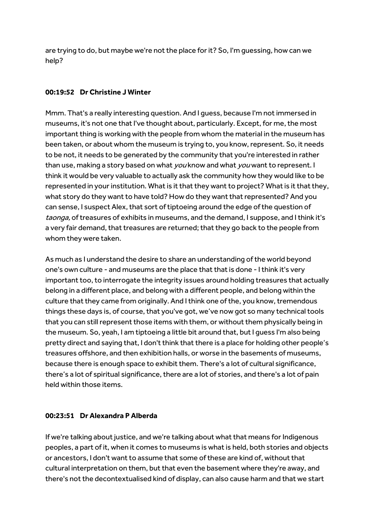are trying to do, but maybe we're not the place for it? So, I'm guessing, how can we help?

## **00:19:52 Dr Christine J Winter**

Mmm. That's a really interesting question. And I quess, because I'm not immersed in museums, it's not one that I've thought about, particularly. Except, for me, the most important thing is working with the people from whom the material in the museum has been taken, or about whom the museum is trying to, you know, represent. So, it needs to be not, it needs to be generated by the community that you're interested in rather than use, making a story based on what you know and what you want to represent. I think it would be very valuable to actually ask the community how they would like to be represented in your institution. What is it that they want to project? What is it that they, what story do they want to have told? How do they want that represented? And you can sense, I suspect Alex, that sort of tiptoeing around the edge of the question of taonga, of treasures of exhibits in museums, and the demand, I suppose, and I think it's a very fair demand, that treasures are returned; that they go back to the people from whom they were taken.

As much as I understand the desire to share an understanding of the world beyond one's own culture - and museums are the place that that is done - I think it's very important too, to interrogate the integrity issues around holding treasures that actually belong in a different place, and belong with a different people, and belong within the culture that they came from originally. And I think one of the, you know, tremendous things these days is, of course, that you've got, we've now got so many technical tools that you can still represent those items with them, or without them physically being in the museum. So, yeah, I am tiptoeing a little bit around that, but I guess I'm also being pretty direct and saying that, I don't think that there is a place for holding other people's treasures offshore, and then exhibition halls, or worse in the basements of museums, because there is enough space to exhibit them. There's a lot of cultural significance, there's a lot of spiritual significance, there are a lot of stories, and there's a lot of pain held within those items.

## **00:23:51 Dr Alexandra P Alberda**

If we're talking about justice, and we're talking about what that means for Indigenous peoples, a part of it, when it comes to museums is what is held, both stories and objects or ancestors, I don't want to assume that some of these are kind of, without that cultural interpretation on them, but that even the basement where they're away, and there's not the decontextualised kind of display, can also cause harm and that we start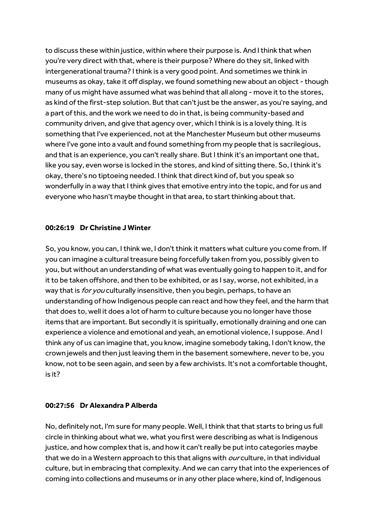to discuss these within justice, within where their purpose is. And I think that when you're very direct with that, where is their purpose? Where do they sit, linked with intergenerational trauma? I think is a very good point. And sometimes we think in museums as okay, take it off display, we found something new about an object - though many of us might have assumed what was behind that all along - move it to the stores, as kind of the first-step solution. But that can't just be the answer, as you're saying, and a part of this, and the work we need to do in that, is being community-based and community driven, and give that agency over, which I think is is a lovely thing. It is something that I've experienced, not at the Manchester Museum but other museums where I've gone into a vault and found something from my people that is sacrilegious, and that is an experience, you can't really share. But I think it's an important one that, like you say, even worse is locked in the stores, and kind of sitting there. So, I think it's okay, there's no tiptoeing needed. I think that direct kind of, but you speak so wonderfully in a way that I think gives that emotive entry into the topic, and for us and everyone who hasn't maybe thought in that area, to start thinking about that.

## **00:26:19 Dr Christine J Winter**

So, you know, you can, I think we, I don't think it matters what culture you come from. If you can imagine a cultural treasure being forcefully taken from you, possibly given to you, but without an understanding of what was eventually going to happen to it, and for it to be taken offshore, and then to be exhibited, or as I say, worse, not exhibited, in a way that is for you culturally insensitive, then you begin, perhaps, to have an understanding of how Indigenous people can react and how they feel, and the harm that that does to, well it does a lot of harm to culture because you no longer have those items that are important. But secondly it is spiritually, emotionally draining and one can experience a violence and emotional and yeah, an emotional violence, I suppose. And I think any of us can imagine that, you know, imagine somebody taking, I don't know, the crown jewels and then just leaving them in the basement somewhere, never to be, you know, not to be seen again, and seen by a few archivists. It's not a comfortable thought, is it?

## **00:27:56 Dr Alexandra P Alberda**

No, definitely not, I'm sure for many people. Well, I think that that starts to bring us full circle in thinking about what we, what you first were describing as what is Indigenous justice, and how complex that is, and how it can't really be put into categories maybe that we do in a Western approach to this that aligns with *our* culture, in that individual culture, but in embracing that complexity. And we can carry that into the experiences of coming into collections and museums or in any other place where, kind of, Indigenous